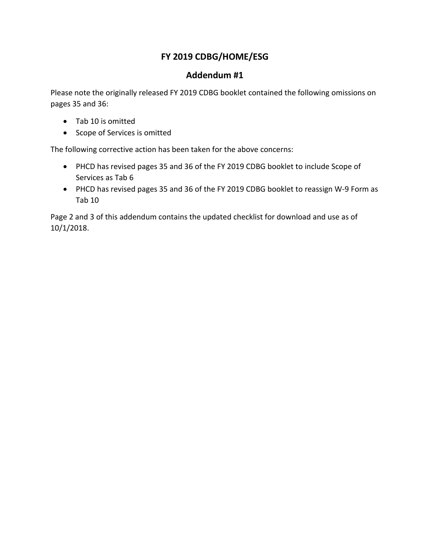# **FY 2019 CDBG/HOME/ESG**

# **Addendum #1**

Please note the originally released FY 2019 CDBG booklet contained the following omissions on pages 35 and 36:

- Tab 10 is omitted
- Scope of Services is omitted

The following corrective action has been taken for the above concerns:

- PHCD has revised pages 35 and 36 of the FY 2019 CDBG booklet to include Scope of Services as Tab 6
- PHCD has revised pages 35 and 36 of the FY 2019 CDBG booklet to reassign W-9 Form as Tab 10

Page 2 and 3 of this addendum contains the updated checklist for download and use as of 10/1/2018.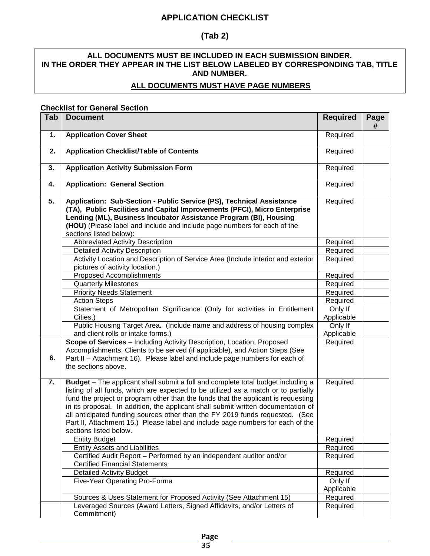## **APPLICATION CHECKLIST**

# **(Tab 2)**

## **ALL DOCUMENTS MUST BE INCLUDED IN EACH SUBMISSION BINDER. IN THE ORDER THEY APPEAR IN THE LIST BELOW LABELED BY CORRESPONDING TAB, TITLE AND NUMBER.**

### **ALL DOCUMENTS MUST HAVE PAGE NUMBERS**

#### **Checklist for General Section**

| Tab | <b>Document</b>                                                                                                                                                                                                                                                                                                                                                                                                                                                                                                                              | <b>Required</b>       | Page<br># |
|-----|----------------------------------------------------------------------------------------------------------------------------------------------------------------------------------------------------------------------------------------------------------------------------------------------------------------------------------------------------------------------------------------------------------------------------------------------------------------------------------------------------------------------------------------------|-----------------------|-----------|
| 1.  | <b>Application Cover Sheet</b>                                                                                                                                                                                                                                                                                                                                                                                                                                                                                                               | Required              |           |
| 2.  | <b>Application Checklist/Table of Contents</b>                                                                                                                                                                                                                                                                                                                                                                                                                                                                                               | Required              |           |
| 3.  | <b>Application Activity Submission Form</b>                                                                                                                                                                                                                                                                                                                                                                                                                                                                                                  | Required              |           |
| 4.  | <b>Application: General Section</b>                                                                                                                                                                                                                                                                                                                                                                                                                                                                                                          | Required              |           |
| 5.  | Application: Sub-Section - Public Service (PS), Technical Assistance<br>(TA), Public Facilities and Capital Improvements (PFCI), Micro Enterprise<br>Lending (ML), Business Incubator Assistance Program (BI), Housing<br>(HOU) (Please label and include and include page numbers for each of the<br>sections listed below):                                                                                                                                                                                                                | Required              |           |
|     | <b>Abbreviated Activity Description</b>                                                                                                                                                                                                                                                                                                                                                                                                                                                                                                      | Required              |           |
|     | <b>Detailed Activity Description</b>                                                                                                                                                                                                                                                                                                                                                                                                                                                                                                         | Required              |           |
|     | Activity Location and Description of Service Area (Include interior and exterior<br>pictures of activity location.)                                                                                                                                                                                                                                                                                                                                                                                                                          | Required              |           |
|     | <b>Proposed Accomplishments</b>                                                                                                                                                                                                                                                                                                                                                                                                                                                                                                              | Required              |           |
|     | <b>Quarterly Milestones</b>                                                                                                                                                                                                                                                                                                                                                                                                                                                                                                                  | Required              |           |
|     | <b>Priority Needs Statement</b>                                                                                                                                                                                                                                                                                                                                                                                                                                                                                                              | Required              |           |
|     | <b>Action Steps</b>                                                                                                                                                                                                                                                                                                                                                                                                                                                                                                                          | Required              |           |
|     | Statement of Metropolitan Significance (Only for activities in Entitlement                                                                                                                                                                                                                                                                                                                                                                                                                                                                   | Only If               |           |
|     | Cities.)                                                                                                                                                                                                                                                                                                                                                                                                                                                                                                                                     | Applicable            |           |
|     | Public Housing Target Area. (Include name and address of housing complex<br>and client rolls or intake forms.)                                                                                                                                                                                                                                                                                                                                                                                                                               | Only If<br>Applicable |           |
| 6.  | Scope of Services - Including Activity Description, Location, Proposed<br>Accomplishments, Clients to be served (if applicable), and Action Steps (See<br>Part II - Attachment 16). Please label and include page numbers for each of<br>the sections above.                                                                                                                                                                                                                                                                                 | Required              |           |
| 7.  | Budget - The applicant shall submit a full and complete total budget including a<br>listing of all funds, which are expected to be utilized as a match or to partially<br>fund the project or program other than the funds that the applicant is requesting<br>in its proposal. In addition, the applicant shall submit written documentation of<br>all anticipated funding sources other than the FY 2019 funds requested. (See<br>Part II, Attachment 15.) Please label and include page numbers for each of the<br>sections listed below. | Required              |           |
|     | <b>Entity Budget</b>                                                                                                                                                                                                                                                                                                                                                                                                                                                                                                                         | Required              |           |
|     | <b>Entity Assets and Liabilities</b>                                                                                                                                                                                                                                                                                                                                                                                                                                                                                                         | Required              |           |
|     | Certified Audit Report - Performed by an independent auditor and/or<br><b>Certified Financial Statements</b>                                                                                                                                                                                                                                                                                                                                                                                                                                 | Required              |           |
|     | <b>Detailed Activity Budget</b>                                                                                                                                                                                                                                                                                                                                                                                                                                                                                                              | Required              |           |
|     | Five-Year Operating Pro-Forma                                                                                                                                                                                                                                                                                                                                                                                                                                                                                                                | Only If               |           |
|     |                                                                                                                                                                                                                                                                                                                                                                                                                                                                                                                                              | Applicable            |           |
|     | Sources & Uses Statement for Proposed Activity (See Attachment 15)                                                                                                                                                                                                                                                                                                                                                                                                                                                                           | Required              |           |
|     | Leveraged Sources (Award Letters, Signed Affidavits, and/or Letters of<br>Commitment)                                                                                                                                                                                                                                                                                                                                                                                                                                                        | Required              |           |